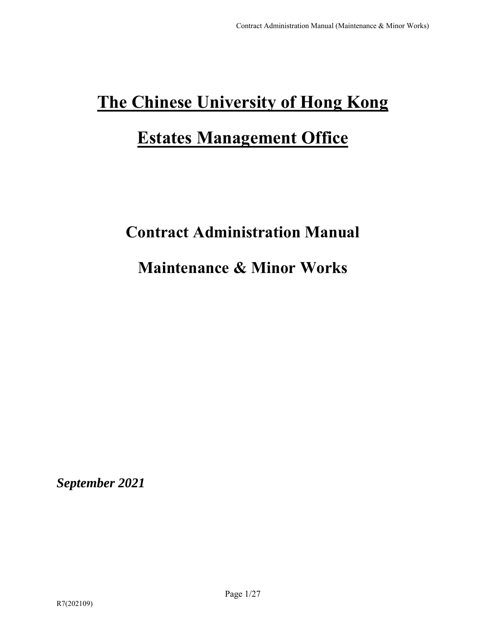# **The Chinese University of Hong Kong Estates Management Office**

# **Contract Administration Manual**

# **Maintenance & Minor Works**

*September 2021*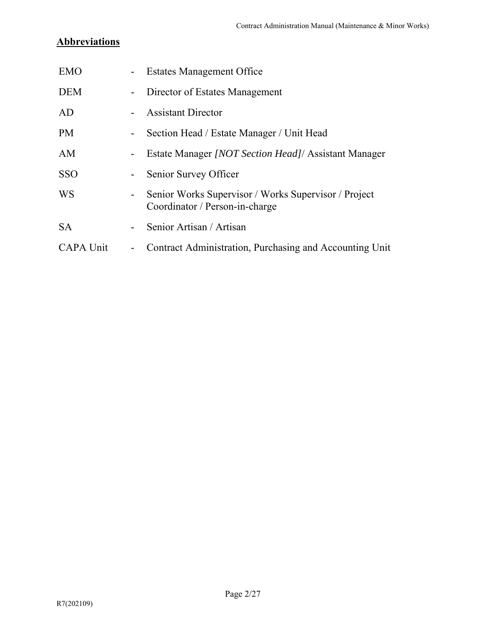# **Abbreviations**

| <b>EMO</b>       |                          | <b>Estates Management Office</b>                                                       |
|------------------|--------------------------|----------------------------------------------------------------------------------------|
| <b>DEM</b>       | $\sim$ $-$               | Director of Estates Management                                                         |
| AD               |                          | <b>Assistant Director</b>                                                              |
| <b>PM</b>        | $\blacksquare$           | Section Head / Estate Manager / Unit Head                                              |
| AM               | $\blacksquare$           | Estate Manager <i>[NOT Section Head]</i> Assistant Manager                             |
| <b>SSO</b>       | $\sim 100$               | Senior Survey Officer                                                                  |
| <b>WS</b>        | $\overline{\phantom{a}}$ | Senior Works Supervisor / Works Supervisor / Project<br>Coordinator / Person-in-charge |
| <b>SA</b>        |                          | Senior Artisan / Artisan                                                               |
| <b>CAPA Unit</b> | $\overline{\phantom{a}}$ | Contract Administration, Purchasing and Accounting Unit                                |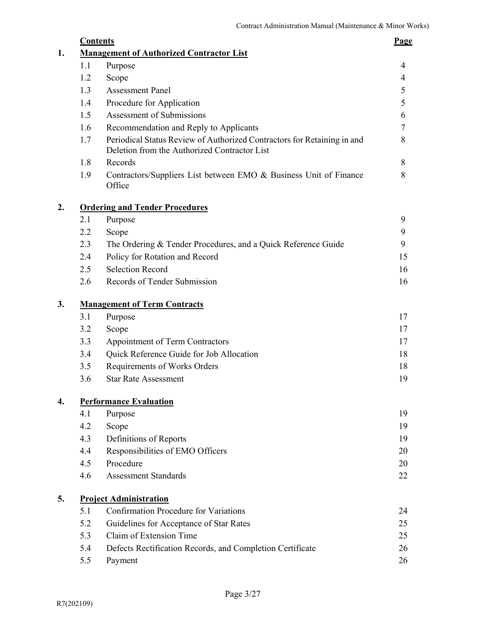| <b>Contents</b> |                                                                                                                         | <b>Page</b> |
|-----------------|-------------------------------------------------------------------------------------------------------------------------|-------------|
|                 | <b>Management of Authorized Contractor List</b>                                                                         |             |
| 1.1             | Purpose                                                                                                                 | 4           |
| 1.2             | Scope                                                                                                                   | 4           |
| 1.3             | <b>Assessment Panel</b>                                                                                                 | 5           |
| 1.4             | Procedure for Application                                                                                               | 5           |
| 1.5             | Assessment of Submissions                                                                                               | 6           |
| 1.6             | Recommendation and Reply to Applicants                                                                                  | 7           |
| 1.7             | Periodical Status Review of Authorized Contractors for Retaining in and<br>Deletion from the Authorized Contractor List | 8           |
| 1.8             | Records                                                                                                                 | 8           |
| 1.9             | Contractors/Suppliers List between EMO & Business Unit of Finance<br>Office                                             | 8           |
|                 | <b>Ordering and Tender Procedures</b>                                                                                   |             |
| 2.1             | Purpose                                                                                                                 | 9           |
| 2.2             | Scope                                                                                                                   | 9           |
| 2.3             | The Ordering & Tender Procedures, and a Quick Reference Guide                                                           |             |
| 2.4             | Policy for Rotation and Record                                                                                          | 15          |
| 2.5             | <b>Selection Record</b>                                                                                                 | 16          |
| 2.6             | Records of Tender Submission                                                                                            | 16          |
|                 | <b>Management of Term Contracts</b>                                                                                     |             |
| 3.1             | Purpose                                                                                                                 | 17          |
| 3.2             | Scope                                                                                                                   | 17          |
| 3.3             | Appointment of Term Contractors                                                                                         | 17          |
| 3.4             | Quick Reference Guide for Job Allocation                                                                                | 18          |
| 3.5             | Requirements of Works Orders                                                                                            | 18          |
| 3.6             | <b>Star Rate Assessment</b>                                                                                             | 19          |
|                 | <b>Performance Evaluation</b>                                                                                           |             |
| 4.1             | Purpose                                                                                                                 | 19          |
| 4.2             | Scope                                                                                                                   | 19          |
| 4.3             | Definitions of Reports                                                                                                  | 19          |
| 4.4             | Responsibilities of EMO Officers                                                                                        | 20          |
| 4.5             | Procedure                                                                                                               | 20          |
| 4.6             | <b>Assessment Standards</b>                                                                                             | 22          |
|                 | <b>Project Administration</b>                                                                                           |             |
| 5.1             | <b>Confirmation Procedure for Variations</b>                                                                            | 24          |
| 5.2             | Guidelines for Acceptance of Star Rates                                                                                 | 25          |
| 5.3             | Claim of Extension Time                                                                                                 | 25          |
| 5.4             | Defects Rectification Records, and Completion Certificate                                                               | 26          |
| 5.5             | Payment                                                                                                                 | 26          |
|                 |                                                                                                                         |             |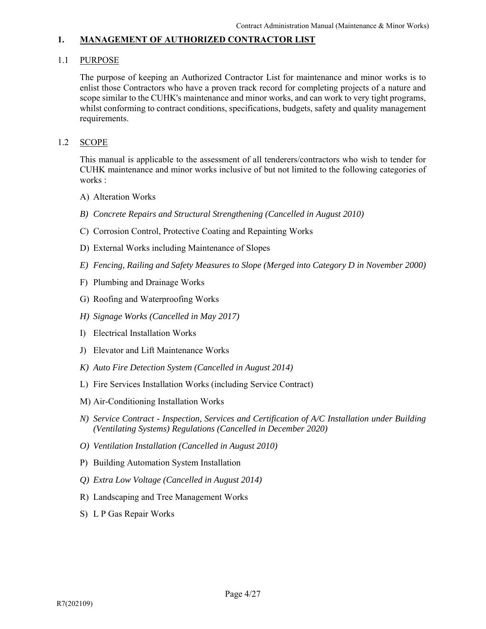# 1.1 PURPOSE

 The purpose of keeping an Authorized Contractor List for maintenance and minor works is to enlist those Contractors who have a proven track record for completing projects of a nature and scope similar to the CUHK's maintenance and minor works, and can work to very tight programs, whilst conforming to contract conditions, specifications, budgets, safety and quality management requirements.

# 1.2 SCOPE

 This manual is applicable to the assessment of all tenderers/contractors who wish to tender for CUHK maintenance and minor works inclusive of but not limited to the following categories of works :

- A) Alteration Works
- *B) Concrete Repairs and Structural Strengthening (Cancelled in August 2010)*
- C) Corrosion Control, Protective Coating and Repainting Works
- D) External Works including Maintenance of Slopes
- *E) Fencing, Railing and Safety Measures to Slope (Merged into Category D in November 2000)*
- F) Plumbing and Drainage Works
- G) Roofing and Waterproofing Works
- *H) Signage Works (Cancelled in May 2017)*
- I) Electrical Installation Works
- J) Elevator and Lift Maintenance Works
- *K) Auto Fire Detection System (Cancelled in August 2014)*
- L) Fire Services Installation Works (including Service Contract)
- M) Air-Conditioning Installation Works
- *N) Service Contract Inspection, Services and Certification of A/C Installation under Building (Ventilating Systems) Regulations (Cancelled in December 2020)*
- *O) Ventilation Installation (Cancelled in August 2010)*
- P) Building Automation System Installation
- *Q) Extra Low Voltage (Cancelled in August 2014)*
- R) Landscaping and Tree Management Works
- S) L P Gas Repair Works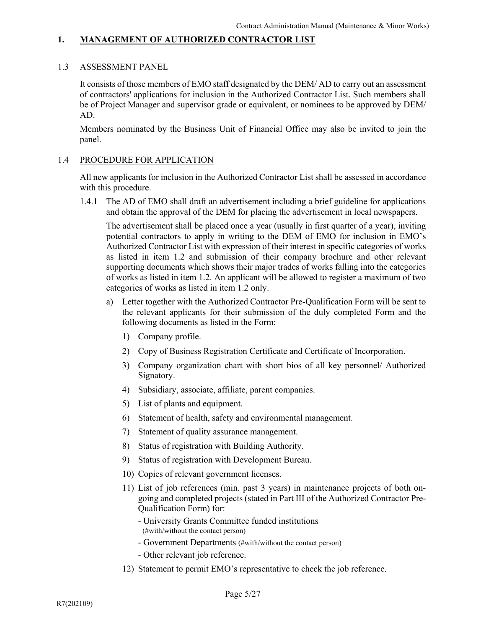# 1.3 ASSESSMENT PANEL

 It consists of those members of EMO staff designated by the DEM/ AD to carry out an assessment of contractors' applications for inclusion in the Authorized Contractor List. Such members shall be of Project Manager and supervisor grade or equivalent, or nominees to be approved by DEM/ AD.

Members nominated by the Business Unit of Financial Office may also be invited to join the panel.

#### 1.4 PROCEDURE FOR APPLICATION

 All new applicants for inclusion in the Authorized Contractor List shall be assessed in accordance with this procedure.

 1.4.1 The AD of EMO shall draft an advertisement including a brief guideline for applications and obtain the approval of the DEM for placing the advertisement in local newspapers.

The advertisement shall be placed once a year (usually in first quarter of a year), inviting potential contractors to apply in writing to the DEM of EMO for inclusion in EMO's Authorized Contractor List with expression of their interest in specific categories of works as listed in item 1.2 and submission of their company brochure and other relevant supporting documents which shows their major trades of works falling into the categories of works as listed in item 1.2. An applicant will be allowed to register a maximum of two categories of works as listed in item 1.2 only.

- a) Letter together with the Authorized Contractor Pre-Qualification Form will be sent to the relevant applicants for their submission of the duly completed Form and the following documents as listed in the Form:
	- 1) Company profile.
	- 2) Copy of Business Registration Certificate and Certificate of Incorporation.
	- 3) Company organization chart with short bios of all key personnel/ Authorized Signatory.
	- 4) Subsidiary, associate, affiliate, parent companies.
	- 5) List of plants and equipment.
	- 6) Statement of health, safety and environmental management.
	- 7) Statement of quality assurance management.
	- 8) Status of registration with Building Authority.
	- 9) Status of registration with Development Bureau.
	- 10) Copies of relevant government licenses.
	- 11) List of job references (min. past 3 years) in maintenance projects of both ongoing and completed projects (stated in Part III of the Authorized Contractor Pre-Qualification Form) for:
		- University Grants Committee funded institutions (#with/without the contact person)
		- Government Departments (#with/without the contact person)
		- Other relevant job reference.
	- 12) Statement to permit EMO's representative to check the job reference.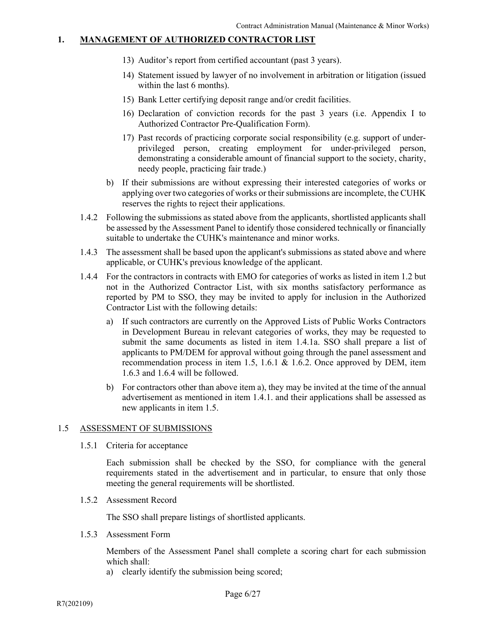- 13) Auditor's report from certified accountant (past 3 years).
- 14) Statement issued by lawyer of no involvement in arbitration or litigation (issued within the last 6 months).
- 15) Bank Letter certifying deposit range and/or credit facilities.
- 16) Declaration of conviction records for the past 3 years (i.e. Appendix I to Authorized Contractor Pre-Qualification Form).
- 17) Past records of practicing corporate social responsibility (e.g. support of underprivileged person, creating employment for under-privileged person, demonstrating a considerable amount of financial support to the society, charity, needy people, practicing fair trade.)
- b) If their submissions are without expressing their interested categories of works or applying over two categories of works or their submissions are incomplete, the CUHK reserves the rights to reject their applications.
- 1.4.2 Following the submissions as stated above from the applicants, shortlisted applicants shall be assessed by the Assessment Panel to identify those considered technically or financially suitable to undertake the CUHK's maintenance and minor works.
- 1.4.3 The assessment shall be based upon the applicant's submissions as stated above and where applicable, or CUHK's previous knowledge of the applicant.
- 1.4.4 For the contractors in contracts with EMO for categories of works as listed in item 1.2 but not in the Authorized Contractor List, with six months satisfactory performance as reported by PM to SSO, they may be invited to apply for inclusion in the Authorized Contractor List with the following details:
	- a) If such contractors are currently on the Approved Lists of Public Works Contractors in Development Bureau in relevant categories of works, they may be requested to submit the same documents as listed in item 1.4.1a. SSO shall prepare a list of applicants to PM/DEM for approval without going through the panel assessment and recommendation process in item 1.5, 1.6.1  $\&$  1.6.2. Once approved by DEM, item 1.6.3 and 1.6.4 will be followed.
	- b) For contractors other than above item a), they may be invited at the time of the annual advertisement as mentioned in item 1.4.1. and their applications shall be assessed as new applicants in item 1.5.

# 1.5 ASSESSMENT OF SUBMISSIONS

1.5.1 Criteria for acceptance

 Each submission shall be checked by the SSO, for compliance with the general requirements stated in the advertisement and in particular, to ensure that only those meeting the general requirements will be shortlisted.

1.5.2 Assessment Record

The SSO shall prepare listings of shortlisted applicants.

1.5.3 Assessment Form

 Members of the Assessment Panel shall complete a scoring chart for each submission which shall:

a) clearly identify the submission being scored;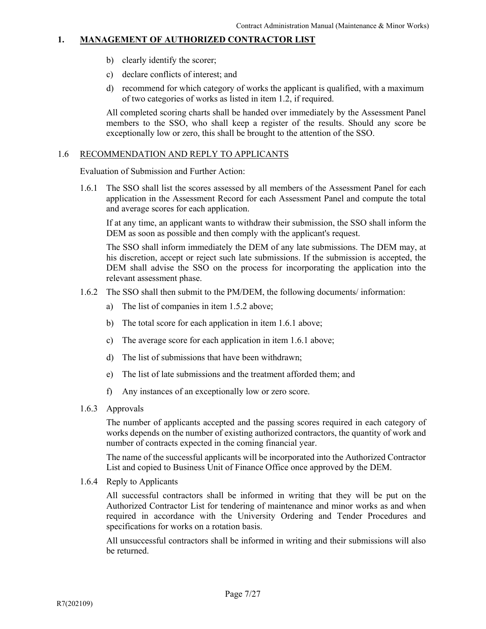- b) clearly identify the scorer;
- c) declare conflicts of interest; and
- d) recommend for which category of works the applicant is qualified, with a maximum of two categories of works as listed in item 1.2, if required.

 All completed scoring charts shall be handed over immediately by the Assessment Panel members to the SSO, who shall keep a register of the results. Should any score be exceptionally low or zero, this shall be brought to the attention of the SSO.

# 1.6 RECOMMENDATION AND REPLY TO APPLICANTS

Evaluation of Submission and Further Action:

 1.6.1 The SSO shall list the scores assessed by all members of the Assessment Panel for each application in the Assessment Record for each Assessment Panel and compute the total and average scores for each application.

 If at any time, an applicant wants to withdraw their submission, the SSO shall inform the DEM as soon as possible and then comply with the applicant's request.

 The SSO shall inform immediately the DEM of any late submissions. The DEM may, at his discretion, accept or reject such late submissions. If the submission is accepted, the DEM shall advise the SSO on the process for incorporating the application into the relevant assessment phase.

- 1.6.2 The SSO shall then submit to the PM/DEM, the following documents/ information:
	- a) The list of companies in item 1.5.2 above;
	- b) The total score for each application in item 1.6.1 above;
	- c) The average score for each application in item 1.6.1 above;
	- d) The list of submissions that have been withdrawn;
	- e) The list of late submissions and the treatment afforded them; and
	- f) Any instances of an exceptionally low or zero score.
- 1.6.3 Approvals

 The number of applicants accepted and the passing scores required in each category of works depends on the number of existing authorized contractors, the quantity of work and number of contracts expected in the coming financial year.

 The name of the successful applicants will be incorporated into the Authorized Contractor List and copied to Business Unit of Finance Office once approved by the DEM.

1.6.4 Reply to Applicants

 All successful contractors shall be informed in writing that they will be put on the Authorized Contractor List for tendering of maintenance and minor works as and when required in accordance with the University Ordering and Tender Procedures and specifications for works on a rotation basis.

 All unsuccessful contractors shall be informed in writing and their submissions will also be returned.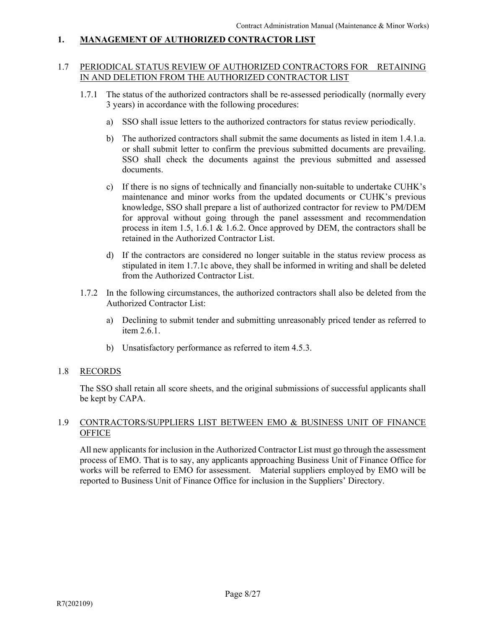# 1.7 PERIODICAL STATUS REVIEW OF AUTHORIZED CONTRACTORS FOR RETAINING IN AND DELETION FROM THE AUTHORIZED CONTRACTOR LIST

- 1.7.1 The status of the authorized contractors shall be re-assessed periodically (normally every 3 years) in accordance with the following procedures:
	- a) SSO shall issue letters to the authorized contractors for status review periodically.
	- b) The authorized contractors shall submit the same documents as listed in item 1.4.1.a. or shall submit letter to confirm the previous submitted documents are prevailing. SSO shall check the documents against the previous submitted and assessed documents.
	- c) If there is no signs of technically and financially non-suitable to undertake CUHK's maintenance and minor works from the updated documents or CUHK's previous knowledge, SSO shall prepare a list of authorized contractor for review to PM/DEM for approval without going through the panel assessment and recommendation process in item 1.5, 1.6.1 & 1.6.2. Once approved by DEM, the contractors shall be retained in the Authorized Contractor List.
	- d) If the contractors are considered no longer suitable in the status review process as stipulated in item 1.7.1c above, they shall be informed in writing and shall be deleted from the Authorized Contractor List.
- 1.7.2 In the following circumstances, the authorized contractors shall also be deleted from the Authorized Contractor List:
	- a) Declining to submit tender and submitting unreasonably priced tender as referred to item 2.6.1.
	- b) Unsatisfactory performance as referred to item 4.5.3.

# 1.8 RECORDS

 The SSO shall retain all score sheets, and the original submissions of successful applicants shall be kept by CAPA.

# 1.9 CONTRACTORS/SUPPLIERS LIST BETWEEN EMO & BUSINESS UNIT OF FINANCE **OFFICE**

 All new applicants for inclusion in the Authorized Contractor List must go through the assessment process of EMO. That is to say, any applicants approaching Business Unit of Finance Office for works will be referred to EMO for assessment. Material suppliers employed by EMO will be reported to Business Unit of Finance Office for inclusion in the Suppliers' Directory.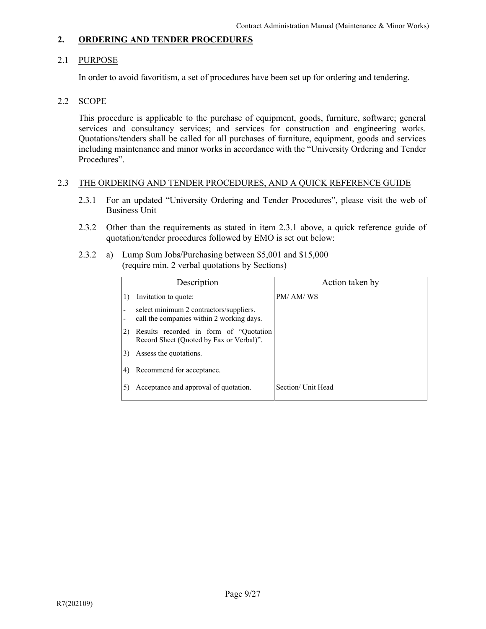# 2.1 PURPOSE

In order to avoid favoritism, a set of procedures have been set up for ordering and tendering.

# 2.2 SCOPE

 This procedure is applicable to the purchase of equipment, goods, furniture, software; general services and consultancy services; and services for construction and engineering works. Quotations/tenders shall be called for all purchases of furniture, equipment, goods and services including maintenance and minor works in accordance with the "University Ordering and Tender Procedures".

# 2.3 THE ORDERING AND TENDER PROCEDURES, AND A QUICK REFERENCE GUIDE

- 2.3.1 For an updated "University Ordering and Tender Procedures", please visit the web of Business Unit
- 2.3.2 Other than the requirements as stated in item 2.3.1 above, a quick reference guide of quotation/tender procedures followed by EMO is set out below:
- 2.3.2 a) Lump Sum Jobs/Purchasing between \$5,001 and \$15,000 (require min. 2 verbal quotations by Sections)

|   | Description                                                                          | Action taken by    |
|---|--------------------------------------------------------------------------------------|--------------------|
|   | Invitation to quote:                                                                 | PM/AM/WS           |
| ٠ | select minimum 2 contractors/suppliers.<br>call the companies within 2 working days. |                    |
|   | Results recorded in form of "Quotation<br>Record Sheet (Quoted by Fax or Verbal)".   |                    |
| 3 | Assess the quotations.                                                               |                    |
| 4 | Recommend for acceptance.                                                            |                    |
|   | Acceptance and approval of quotation.                                                | Section/ Unit Head |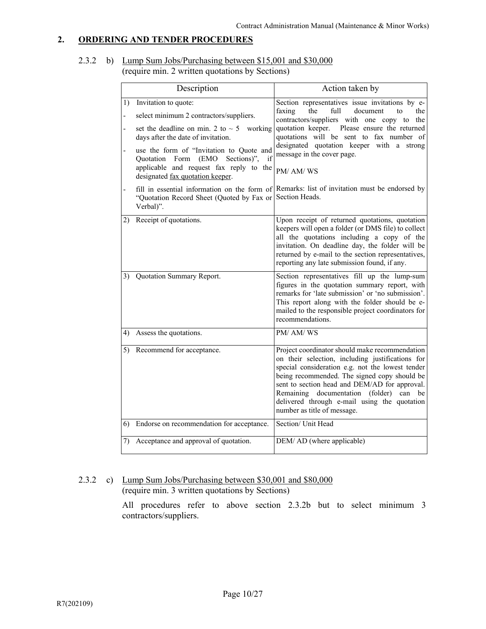# 2.3.2 b) Lump Sum Jobs/Purchasing between \$15,001 and \$30,000 (require min. 2 written quotations by Sections)

|    | Description                                                                                                                                                                                                                                                                                                                                                                           | Action taken by                                                                                                                                                                                                                                                                                                                                                                                                                                        |
|----|---------------------------------------------------------------------------------------------------------------------------------------------------------------------------------------------------------------------------------------------------------------------------------------------------------------------------------------------------------------------------------------|--------------------------------------------------------------------------------------------------------------------------------------------------------------------------------------------------------------------------------------------------------------------------------------------------------------------------------------------------------------------------------------------------------------------------------------------------------|
| 1) | Invitation to quote:<br>select minimum 2 contractors/suppliers.<br>set the deadline on min. 2 to $\sim$ 5 working<br>days after the date of invitation.<br>use the form of "Invitation to Quote and<br>Quotation Form (EMO Sections)",<br>if<br>applicable and request fax reply to the<br>designated fax quotation keeper.<br>"Quotation Record Sheet (Quoted by Fax or<br>Verbal)". | Section representatives issue invitations by e-<br>faxing<br>the<br>full<br>document<br>the<br>to<br>contractors/suppliers with one copy to the<br>quotation keeper. Please ensure the returned<br>quotations will be sent to fax number of<br>designated quotation keeper with a strong<br>message in the cover page.<br>PM/ AM/ WS<br>fill in essential information on the form of Remarks: list of invitation must be endorsed by<br>Section Heads. |
|    | 2) Receipt of quotations.                                                                                                                                                                                                                                                                                                                                                             | Upon receipt of returned quotations, quotation<br>keepers will open a folder (or DMS file) to collect<br>all the quotations including a copy of the<br>invitation. On deadline day, the folder will be<br>returned by e-mail to the section representatives,<br>reporting any late submission found, if any.                                                                                                                                           |
|    | 3) Quotation Summary Report.                                                                                                                                                                                                                                                                                                                                                          | Section representatives fill up the lump-sum<br>figures in the quotation summary report, with<br>remarks for 'late submission' or 'no submission'.<br>This report along with the folder should be e-<br>mailed to the responsible project coordinators for<br>recommendations.                                                                                                                                                                         |
| 4) | Assess the quotations.                                                                                                                                                                                                                                                                                                                                                                | PM/AM/WS                                                                                                                                                                                                                                                                                                                                                                                                                                               |
|    | 5) Recommend for acceptance.                                                                                                                                                                                                                                                                                                                                                          | Project coordinator should make recommendation<br>on their selection, including justifications for<br>special consideration e.g. not the lowest tender<br>being recommended. The signed copy should be<br>sent to section head and DEM/AD for approval.<br>Remaining documentation (folder) can be<br>delivered through e-mail using the quotation<br>number as title of message.                                                                      |
| 6) | Endorse on recommendation for acceptance.                                                                                                                                                                                                                                                                                                                                             | Section/ Unit Head                                                                                                                                                                                                                                                                                                                                                                                                                                     |
|    | 7) Acceptance and approval of quotation.                                                                                                                                                                                                                                                                                                                                              | DEM/AD (where applicable)                                                                                                                                                                                                                                                                                                                                                                                                                              |

# 2.3.2 c) Lump Sum Jobs/Purchasing between \$30,001 and \$80,000 (require min. 3 written quotations by Sections)

 All procedures refer to above section 2.3.2b but to select minimum 3 contractors/suppliers.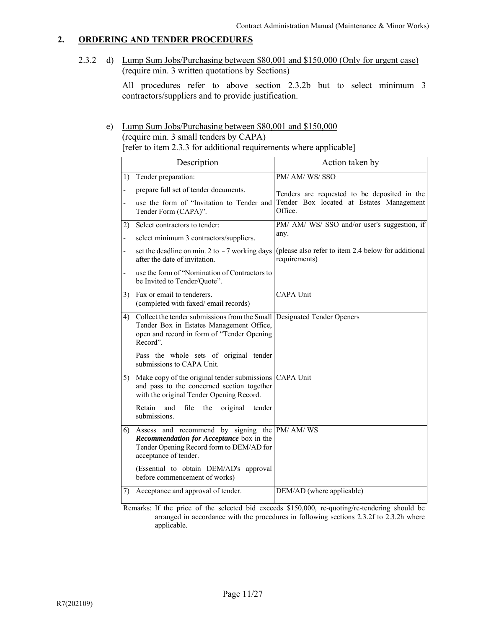2.3.2 d) Lump Sum Jobs/Purchasing between \$80,001 and \$150,000 (Only for urgent case) (require min. 3 written quotations by Sections)

> All procedures refer to above section 2.3.2b but to select minimum 3 contractors/suppliers and to provide justification.

# e) Lump Sum Jobs/Purchasing between \$80,001 and \$150,000

(require min. 3 small tenders by CAPA) [refer to item 2.3.3 for additional requirements where applicable]

|                          | Description                                                                                                                                                                      | Action taken by                                                                                                          |
|--------------------------|----------------------------------------------------------------------------------------------------------------------------------------------------------------------------------|--------------------------------------------------------------------------------------------------------------------------|
| 1)                       | Tender preparation:                                                                                                                                                              | PM/ AM/ WS/ SSO                                                                                                          |
| $\overline{\phantom{0}}$ | prepare full set of tender documents.<br>use the form of "Invitation to Tender and<br>Tender Form (CAPA)".                                                                       | Tenders are requested to be deposited in the<br>Tender Box located at Estates Management<br>Office.                      |
| 2)                       | Select contractors to tender:                                                                                                                                                    | PM/ AM/ WS/ SSO and/or user's suggestion, if                                                                             |
| $\overline{\phantom{0}}$ | select minimum 3 contractors/suppliers.                                                                                                                                          | any.                                                                                                                     |
|                          | after the date of invitation.                                                                                                                                                    | set the deadline on min. 2 to $\sim$ 7 working days (please also refer to item 2.4 below for additional<br>requirements) |
|                          | use the form of "Nomination of Contractors to<br>be Invited to Tender/Quote".                                                                                                    |                                                                                                                          |
|                          | 3) Fax or email to tenderers.<br>(completed with faxed/email records)                                                                                                            | <b>CAPA Unit</b>                                                                                                         |
|                          | 4) Collect the tender submissions from the Small Designated Tender Openers<br>Tender Box in Estates Management Office,<br>open and record in form of "Tender Opening<br>Record". |                                                                                                                          |
|                          | Pass the whole sets of original tender<br>submissions to CAPA Unit.                                                                                                              |                                                                                                                          |
|                          | 5) Make copy of the original tender submissions CAPA Unit<br>and pass to the concerned section together<br>with the original Tender Opening Record.                              |                                                                                                                          |
|                          | Retain<br>and<br>file the<br>original<br>tender<br>submissions.                                                                                                                  |                                                                                                                          |
|                          | 6) Assess and recommend by signing the PM/AM/WS<br>Recommendation for Acceptance box in the<br>Tender Opening Record form to DEM/AD for<br>acceptance of tender.                 |                                                                                                                          |
|                          | (Essential to obtain DEM/AD's approval<br>before commencement of works)                                                                                                          |                                                                                                                          |
| 7)                       | Acceptance and approval of tender.                                                                                                                                               | DEM/AD (where applicable)                                                                                                |
|                          |                                                                                                                                                                                  |                                                                                                                          |

 Remarks: If the price of the selected bid exceeds \$150,000, re-quoting/re-tendering should be arranged in accordance with the procedures in following sections 2.3.2f to 2.3.2h where applicable.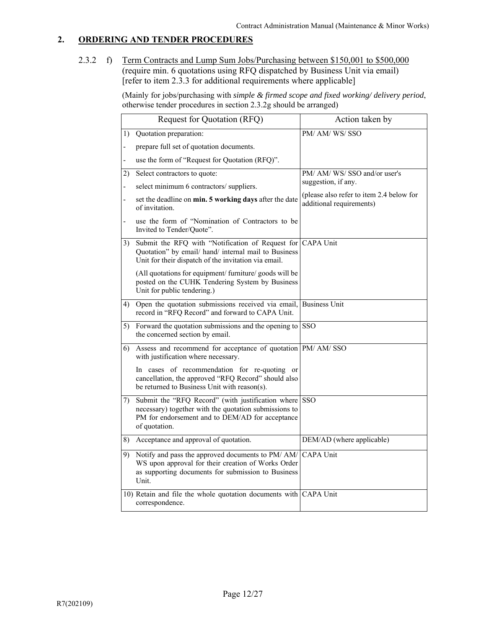2.3.2 f) Term Contracts and Lump Sum Jobs/Purchasing between \$150,001 to \$500,000 (require min. 6 quotations using RFQ dispatched by Business Unit via email) [refer to item 2.3.3 for additional requirements where applicable]

> (Mainly for jobs/purchasing with *simple & firmed scope and fixed working/ delivery period*, otherwise tender procedures in section 2.3.2g should be arranged)

|                          | Request for Quotation (RFQ)                                                                                                                                                           | Action taken by                                                      |
|--------------------------|---------------------------------------------------------------------------------------------------------------------------------------------------------------------------------------|----------------------------------------------------------------------|
|                          | 1) Quotation preparation:                                                                                                                                                             | PM/ AM/ WS/ SSO                                                      |
| $\overline{a}$           | prepare full set of quotation documents.                                                                                                                                              |                                                                      |
|                          | use the form of "Request for Quotation (RFQ)".                                                                                                                                        |                                                                      |
| 2)                       | Select contractors to quote:                                                                                                                                                          | PM/ AM/ WS/ SSO and/or user's                                        |
|                          | select minimum 6 contractors/suppliers.                                                                                                                                               | suggestion, if any.                                                  |
| $\overline{\phantom{0}}$ | set the deadline on min. 5 working days after the date<br>of invitation.                                                                                                              | (please also refer to item 2.4 below for<br>additional requirements) |
| $\overline{a}$           | use the form of "Nomination of Contractors to be<br>Invited to Tender/Quote".                                                                                                         |                                                                      |
| 3)                       | Submit the RFQ with "Notification of Request for CAPA Unit<br>Quotation" by email/ hand/ internal mail to Business<br>Unit for their dispatch of the invitation via email.            |                                                                      |
|                          | (All quotations for equipment/ furniture/ goods will be<br>posted on the CUHK Tendering System by Business<br>Unit for public tendering.)                                             |                                                                      |
|                          | 4) Open the quotation submissions received via email, Business Unit<br>record in "RFQ Record" and forward to CAPA Unit.                                                               |                                                                      |
|                          | 5) Forward the quotation submissions and the opening to $ $ SSO<br>the concerned section by email.                                                                                    |                                                                      |
|                          | 6) Assess and recommend for acceptance of quotation PM/AM/SSO<br>with justification where necessary.                                                                                  |                                                                      |
|                          | In cases of recommendation for re-quoting or<br>cancellation, the approved "RFQ Record" should also<br>be returned to Business Unit with reason(s).                                   |                                                                      |
|                          | 7) Submit the "RFQ Record" (with justification where SSO<br>necessary) together with the quotation submissions to<br>PM for endorsement and to DEM/AD for acceptance<br>of quotation. |                                                                      |
|                          | 8) Acceptance and approval of quotation.                                                                                                                                              | DEM/AD (where applicable)                                            |
|                          | 9) Notify and pass the approved documents to PM/AM/<br>WS upon approval for their creation of Works Order<br>as supporting documents for submission to Business<br>Unit.              | <b>CAPA Unit</b>                                                     |
|                          | 10) Retain and file the whole quotation documents with CAPA Unit<br>correspondence.                                                                                                   |                                                                      |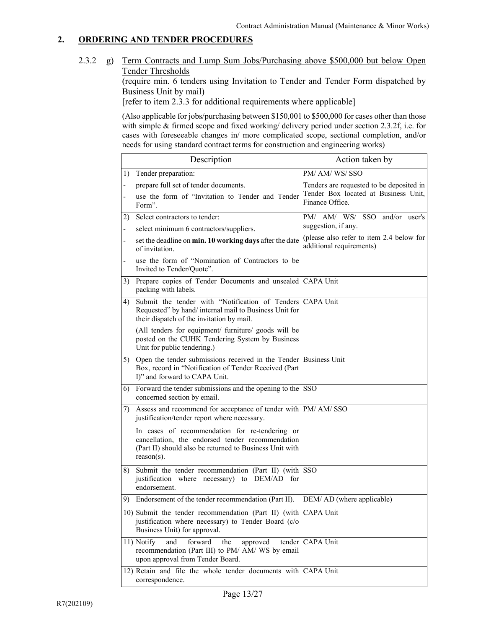2.3.2 g) Term Contracts and Lump Sum Jobs/Purchasing above \$500,000 but below Open Tender Thresholds

(require min. 6 tenders using Invitation to Tender and Tender Form dispatched by Business Unit by mail)

[refer to item 2.3.3 for additional requirements where applicable]

(Also applicable for jobs/purchasing between \$150,001 to \$500,000 for cases other than those with simple & firmed scope and fixed working/ delivery period under section 2.3.2f, i.e. for cases with foreseeable changes in/ more complicated scope, sectional completion, and/or needs for using standard contract terms for construction and engineering works)

|                | Description                                                                                                                                                                    | Action taken by                                                      |
|----------------|--------------------------------------------------------------------------------------------------------------------------------------------------------------------------------|----------------------------------------------------------------------|
|                | 1) Tender preparation:                                                                                                                                                         | PM/ AM/ WS/ SSO                                                      |
|                | prepare full set of tender documents.                                                                                                                                          | Tenders are requested to be deposited in                             |
|                | use the form of "Invitation to Tender and Tender<br>Form".                                                                                                                     | Tender Box located at Business Unit,<br>Finance Office.              |
| 2)             | Select contractors to tender:                                                                                                                                                  | PM/ AM/ WS/ SSO and/or user's                                        |
| $\overline{a}$ | select minimum 6 contractors/suppliers.                                                                                                                                        | suggestion, if any.                                                  |
| $\frac{1}{2}$  | set the deadline on min. 10 working days after the date<br>of invitation.                                                                                                      | (please also refer to item 2.4 below for<br>additional requirements) |
|                | use the form of "Nomination of Contractors to be<br>Invited to Tender/Quote".                                                                                                  |                                                                      |
|                | 3) Prepare copies of Tender Documents and unsealed CAPA Unit<br>packing with labels.                                                                                           |                                                                      |
| 4)             | Submit the tender with "Notification of Tenders CAPA Unit<br>Requested" by hand/internal mail to Business Unit for<br>their dispatch of the invitation by mail.                |                                                                      |
|                | (All tenders for equipment/ furniture/ goods will be<br>posted on the CUHK Tendering System by Business<br>Unit for public tendering.)                                         |                                                                      |
|                | 5) Open the tender submissions received in the Tender Business Unit<br>Box, record in "Notification of Tender Received (Part<br>I)" and forward to CAPA Unit.                  |                                                                      |
|                | 6) Forward the tender submissions and the opening to the $ $ SSO<br>concerned section by email.                                                                                |                                                                      |
|                | 7) Assess and recommend for acceptance of tender with PM/AM/SSO<br>justification/tender report where necessary.                                                                |                                                                      |
|                | In cases of recommendation for re-tendering or<br>cancellation, the endorsed tender recommendation<br>(Part II) should also be returned to Business Unit with<br>$reason(s)$ . |                                                                      |
| 8)             | Submit the tender recommendation (Part II) (with SSO<br>justification where necessary) to DEM/AD for<br>endorsement.                                                           |                                                                      |
|                | 9) Endorsement of the tender recommendation (Part II).                                                                                                                         | DEM/ AD (where applicable)                                           |
|                | 10) Submit the tender recommendation (Part II) (with CAPA Unit<br>justification where necessary) to Tender Board (c/o<br>Business Unit) for approval.                          |                                                                      |
|                | 11) Notify<br>forward<br>and<br>the<br>approved<br>tender<br>recommendation (Part III) to PM/ AM/ WS by email<br>upon approval from Tender Board.                              | CAPA Unit                                                            |
|                | 12) Retain and file the whole tender documents with<br>correspondence.                                                                                                         | CAPA Unit                                                            |
|                |                                                                                                                                                                                |                                                                      |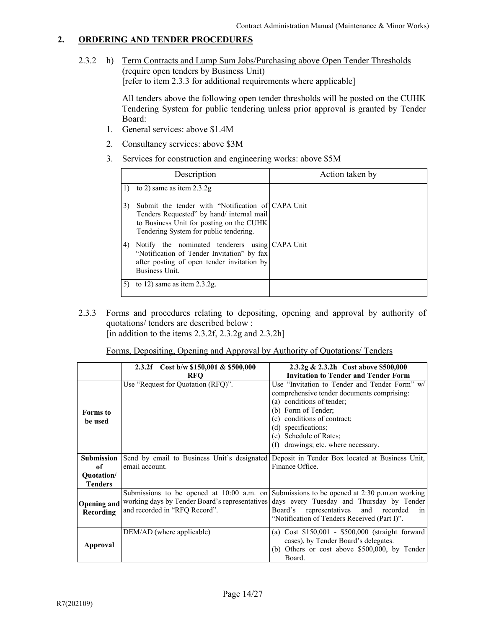2.3.2 h) Term Contracts and Lump Sum Jobs/Purchasing above Open Tender Thresholds (require open tenders by Business Unit) [refer to item 2.3.3 for additional requirements where applicable]

> All tenders above the following open tender thresholds will be posted on the CUHK Tendering System for public tendering unless prior approval is granted by Tender Board:

- 1. General services: above \$1.4M
- 2. Consultancy services: above \$3M
- 3. Services for construction and engineering works: above \$5M

|    | Description                                                                                                                                                                           | Action taken by |
|----|---------------------------------------------------------------------------------------------------------------------------------------------------------------------------------------|-----------------|
|    | to 2) same as item $2.3.2g$                                                                                                                                                           |                 |
| 3) | Submit the tender with "Notification of CAPA Unit"<br>Tenders Requested" by hand/ internal mail<br>to Business Unit for posting on the CUHK<br>Tendering System for public tendering. |                 |
| 4) | Notify the nominated tenderers using CAPA Unit<br>"Notification of Tender Invitation" by fax<br>after posting of open tender invitation by<br><b>Business Unit.</b>                   |                 |
|    | to 12) same as item $2.3.2g$ .                                                                                                                                                        |                 |

 2.3.3 Forms and procedures relating to depositing, opening and approval by authority of quotations/ tenders are described below : [in addition to the items  $2.3.2f$ ,  $2.3.2g$  and  $2.3.2h$ ]

|  |  | Forms, Depositing, Opening and Approval by Authority of Quotations/ Tenders |
|--|--|-----------------------------------------------------------------------------|
|  |  |                                                                             |

|                                                         | 2.3.2f Cost b/w \$150,001 & \$500,000<br><b>RFO</b> | 2.3.2g & 2.3.2h Cost above \$500,000<br><b>Invitation to Tender and Tender Form</b>                                                                                                                                                                                                                       |
|---------------------------------------------------------|-----------------------------------------------------|-----------------------------------------------------------------------------------------------------------------------------------------------------------------------------------------------------------------------------------------------------------------------------------------------------------|
| <b>Forms</b> to<br>be used                              | Use "Request for Quotation (RFQ)".                  | Use "Invitation to Tender and Tender Form" w/<br>comprehensive tender documents comprising:<br>(a) conditions of tender;<br>(b) Form of Tender;<br>(c) conditions of contract;<br>(d) specifications;<br>(e) Schedule of Rates;<br>drawings; etc. where necessary.<br>(f)                                 |
| <b>Submission</b><br>of<br>Quotation/<br><b>Tenders</b> | email account.                                      | Send by email to Business Unit's designated Deposit in Tender Box located at Business Unit,<br>Finance Office.                                                                                                                                                                                            |
| <b>Opening and</b><br><b>Recording</b>                  | and recorded in "RFQ Record".                       | Submissions to be opened at $10:00$ a.m. on Submissions to be opened at 2:30 p.m.on working<br>working days by Tender Board's representatives days every Tuesday and Thursday by Tender<br>Board's representatives and recorded<br>$\overline{\text{in}}$<br>"Notification of Tenders Received (Part I)". |
| Approval                                                | DEM/AD (where applicable)                           | (a) Cost \$150,001 - \$500,000 (straight forward<br>cases), by Tender Board's delegates.<br>(b) Others or cost above \$500,000, by Tender<br>Board.                                                                                                                                                       |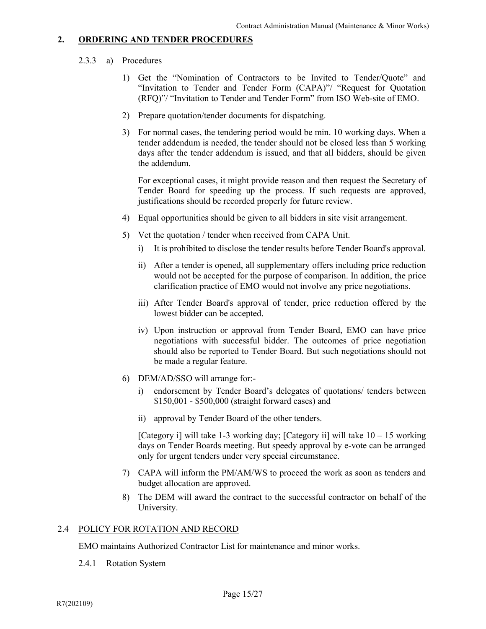# 2.3.3 a) Procedures

- 1) Get the "Nomination of Contractors to be Invited to Tender/Quote" and "Invitation to Tender and Tender Form (CAPA)"/ "Request for Quotation (RFQ)"/ "Invitation to Tender and Tender Form" from ISO Web-site of EMO.
- 2) Prepare quotation/tender documents for dispatching.
- 3) For normal cases, the tendering period would be min. 10 working days. When a tender addendum is needed, the tender should not be closed less than 5 working days after the tender addendum is issued, and that all bidders, should be given the addendum.

For exceptional cases, it might provide reason and then request the Secretary of Tender Board for speeding up the process. If such requests are approved, justifications should be recorded properly for future review.

- 4) Equal opportunities should be given to all bidders in site visit arrangement.
- 5) Vet the quotation / tender when received from CAPA Unit.
	- i) It is prohibited to disclose the tender results before Tender Board's approval.
	- ii) After a tender is opened, all supplementary offers including price reduction would not be accepted for the purpose of comparison. In addition, the price clarification practice of EMO would not involve any price negotiations.
	- iii) After Tender Board's approval of tender, price reduction offered by the lowest bidder can be accepted.
	- iv) Upon instruction or approval from Tender Board, EMO can have price negotiations with successful bidder. The outcomes of price negotiation should also be reported to Tender Board. But such negotiations should not be made a regular feature.
- 6) DEM/AD/SSO will arrange for:
	- i) endorsement by Tender Board's delegates of quotations/ tenders between \$150,001 - \$500,000 (straight forward cases) and
	- ii) approval by Tender Board of the other tenders.

[Category i] will take 1-3 working day; [Category ii] will take  $10 - 15$  working days on Tender Boards meeting. But speedy approval by e-vote can be arranged only for urgent tenders under very special circumstance.

- 7) CAPA will inform the PM/AM/WS to proceed the work as soon as tenders and budget allocation are approved.
- 8) The DEM will award the contract to the successful contractor on behalf of the University.

# 2.4 POLICY FOR ROTATION AND RECORD

EMO maintains Authorized Contractor List for maintenance and minor works.

2.4.1 Rotation System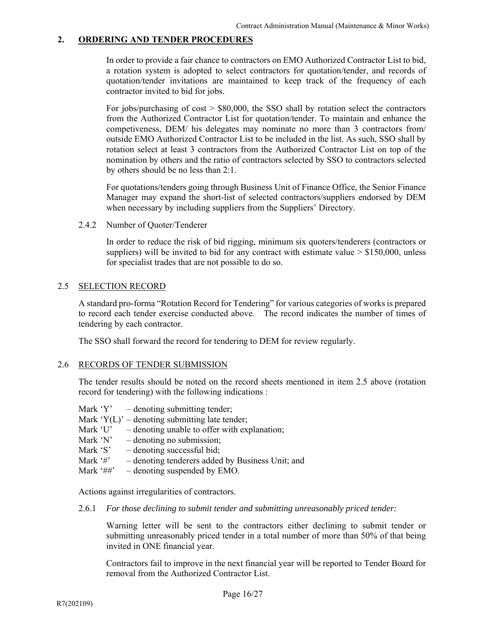In order to provide a fair chance to contractors on EMO Authorized Contractor List to bid, a rotation system is adopted to select contractors for quotation/tender, and records of quotation/tender invitations are maintained to keep track of the frequency of each contractor invited to bid for jobs.

For jobs/purchasing of  $cost$  > \$80,000, the SSO shall by rotation select the contractors from the Authorized Contractor List for quotation/tender. To maintain and enhance the competiveness, DEM/ his delegates may nominate no more than 3 contractors from/ outside EMO Authorized Contractor List to be included in the list. As such, SSO shall by rotation select at least 3 contractors from the Authorized Contractor List on top of the nomination by others and the ratio of contractors selected by SSO to contractors selected by others should be no less than 2:1.

 For quotations/tenders going through Business Unit of Finance Office, the Senior Finance Manager may expand the short-list of selected contractors/suppliers endorsed by DEM when necessary by including suppliers from the Suppliers' Directory.

2.4.2 Number of Quoter/Tenderer

 In order to reduce the risk of bid rigging, minimum six quoters/tenderers (contractors or suppliers) will be invited to bid for any contract with estimate value  $> $150,000$ , unless for specialist trades that are not possible to do so.

# 2.5 SELECTION RECORD

 A standard pro-forma "Rotation Record for Tendering" for various categories of works is prepared to record each tender exercise conducted above. The record indicates the number of times of tendering by each contractor.

The SSO shall forward the record for tendering to DEM for review regularly.

# 2.6 RECORDS OF TENDER SUBMISSION

 The tender results should be noted on the record sheets mentioned in item 2.5 above (rotation record for tendering) with the following indications :

- Mark  $Y'$  denoting submitting tender;
- Mark  $Y(L)$ ' denoting submitting late tender;
- Mark  $U'$  denoting unable to offer with explanation;
- Mark 'N'  $-$  denoting no submission;
- Mark 'S'  $-$  denoting successful bid;
- Mark '#' denoting tenderers added by Business Unit; and
- Mark '##' denoting suspended by EMO.

Actions against irregularities of contractors.

2.6.1 *For those declining to submit tender and submitting unreasonably priced tender:* 

Warning letter will be sent to the contractors either declining to submit tender or submitting unreasonably priced tender in a total number of more than 50% of that being invited in ONE financial year.

Contractors fail to improve in the next financial year will be reported to Tender Board for removal from the Authorized Contractor List.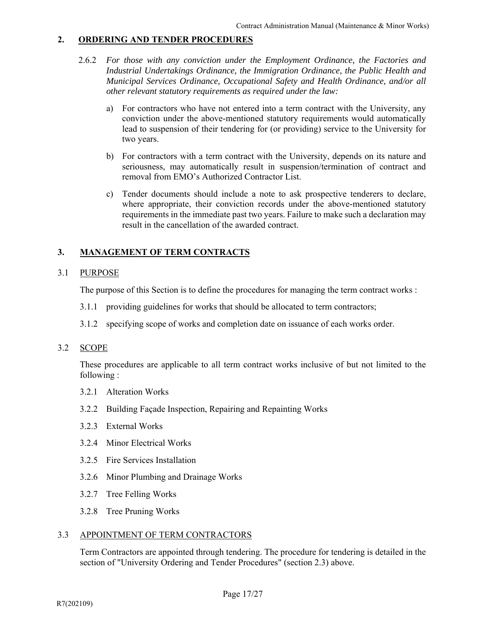- 2.6.2 *For those with any conviction under the Employment Ordinance, the Factories and Industrial Undertakings Ordinance, the Immigration Ordinance, the Public Health and Municipal Services Ordinance, Occupational Safety and Health Ordinance, and/or all other relevant statutory requirements as required under the law:* 
	- a) For contractors who have not entered into a term contract with the University, any conviction under the above-mentioned statutory requirements would automatically lead to suspension of their tendering for (or providing) service to the University for two years.
	- b) For contractors with a term contract with the University, depends on its nature and seriousness, may automatically result in suspension/termination of contract and removal from EMO's Authorized Contractor List.
	- c) Tender documents should include a note to ask prospective tenderers to declare, where appropriate, their conviction records under the above-mentioned statutory requirements in the immediate past two years. Failure to make such a declaration may result in the cancellation of the awarded contract.

# **3. MANAGEMENT OF TERM CONTRACTS**

# 3.1 PURPOSE

The purpose of this Section is to define the procedures for managing the term contract works :

- 3.1.1 providing guidelines for works that should be allocated to term contractors;
- 3.1.2 specifying scope of works and completion date on issuance of each works order.

# 3.2 SCOPE

 These procedures are applicable to all term contract works inclusive of but not limited to the following :

- 3.2.1 Alteration Works
- 3.2.2 Building Façade Inspection, Repairing and Repainting Works
- 3.2.3 External Works
- 3.2.4 Minor Electrical Works
- 3.2.5 Fire Services Installation
- 3.2.6 Minor Plumbing and Drainage Works
- 3.2.7 Tree Felling Works
- 3.2.8 Tree Pruning Works

# 3.3 APPOINTMENT OF TERM CONTRACTORS

 Term Contractors are appointed through tendering. The procedure for tendering is detailed in the section of "University Ordering and Tender Procedures" (section 2.3) above.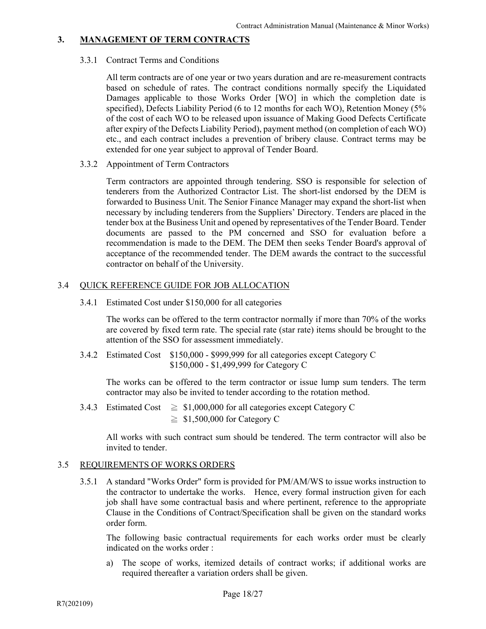# **3. MANAGEMENT OF TERM CONTRACTS**

#### 3.3.1 Contract Terms and Conditions

 All term contracts are of one year or two years duration and are re-measurement contracts based on schedule of rates. The contract conditions normally specify the Liquidated Damages applicable to those Works Order [WO] in which the completion date is specified), Defects Liability Period (6 to 12 months for each WO), Retention Money (5% of the cost of each WO to be released upon issuance of Making Good Defects Certificate after expiry of the Defects Liability Period), payment method (on completion of each WO) etc., and each contract includes a prevention of bribery clause. Contract terms may be extended for one year subject to approval of Tender Board.

3.3.2 Appointment of Term Contractors

 Term contractors are appointed through tendering. SSO is responsible for selection of tenderers from the Authorized Contractor List. The short-list endorsed by the DEM is forwarded to Business Unit. The Senior Finance Manager may expand the short-list when necessary by including tenderers from the Suppliers' Directory. Tenders are placed in the tender box at the Business Unit and opened by representatives of the Tender Board. Tender documents are passed to the PM concerned and SSO for evaluation before a recommendation is made to the DEM. The DEM then seeks Tender Board's approval of acceptance of the recommended tender. The DEM awards the contract to the successful contractor on behalf of the University.

# 3.4 QUICK REFERENCE GUIDE FOR JOB ALLOCATION

3.4.1 Estimated Cost under \$150,000 for all categories

 The works can be offered to the term contractor normally if more than 70% of the works are covered by fixed term rate. The special rate (star rate) items should be brought to the attention of the SSO for assessment immediately.

 3.4.2 Estimated Cost \$150,000 - \$999,999 for all categories except Category C \$150,000 - \$1,499,999 for Category C

 The works can be offered to the term contractor or issue lump sum tenders. The term contractor may also be invited to tender according to the rotation method.

3.4.3 Estimated Cost  $\geq$  \$1,000,000 for all categories except Category C  $\geq$  \$1,500,000 for Category C

 All works with such contract sum should be tendered. The term contractor will also be invited to tender.

# 3.5 REQUIREMENTS OF WORKS ORDERS

 3.5.1 A standard "Works Order" form is provided for PM/AM/WS to issue works instruction to the contractor to undertake the works. Hence, every formal instruction given for each job shall have some contractual basis and where pertinent, reference to the appropriate Clause in the Conditions of Contract/Specification shall be given on the standard works order form.

 The following basic contractual requirements for each works order must be clearly indicated on the works order :

 a) The scope of works, itemized details of contract works; if additional works are required thereafter a variation orders shall be given.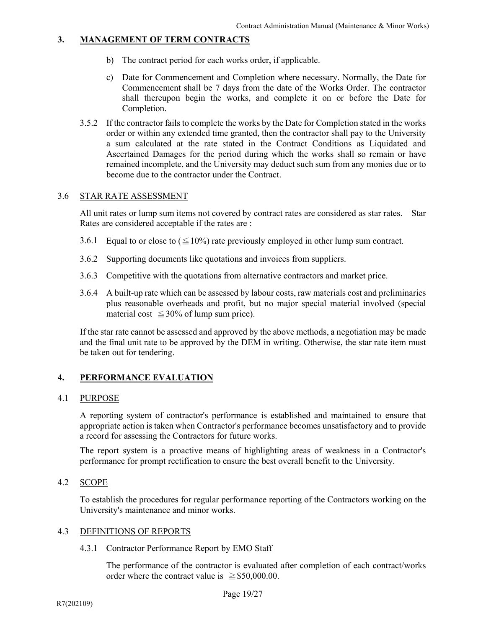# **3. MANAGEMENT OF TERM CONTRACTS**

- b) The contract period for each works order, if applicable.
- c) Date for Commencement and Completion where necessary. Normally, the Date for Commencement shall be 7 days from the date of the Works Order. The contractor shall thereupon begin the works, and complete it on or before the Date for Completion.
- 3.5.2 If the contractor fails to complete the works by the Date for Completion stated in the works order or within any extended time granted, then the contractor shall pay to the University a sum calculated at the rate stated in the Contract Conditions as Liquidated and Ascertained Damages for the period during which the works shall so remain or have remained incomplete, and the University may deduct such sum from any monies due or to become due to the contractor under the Contract.

# 3.6 STAR RATE ASSESSMENT

 All unit rates or lump sum items not covered by contract rates are considered as star rates. Star Rates are considered acceptable if the rates are :

- 3.6.1 Equal to or close to ( $\leq$  10%) rate previously employed in other lump sum contract.
- 3.6.2 Supporting documents like quotations and invoices from suppliers.
- 3.6.3 Competitive with the quotations from alternative contractors and market price.
- 3.6.4 A built-up rate which can be assessed by labour costs, raw materials cost and preliminaries plus reasonable overheads and profit, but no major special material involved (special material cost  $\leq$  30% of lump sum price).

 If the star rate cannot be assessed and approved by the above methods, a negotiation may be made and the final unit rate to be approved by the DEM in writing. Otherwise, the star rate item must be taken out for tendering.

# **4. PERFORMANCE EVALUATION**

# 4.1 PURPOSE

 A reporting system of contractor's performance is established and maintained to ensure that appropriate action is taken when Contractor's performance becomes unsatisfactory and to provide a record for assessing the Contractors for future works.

 The report system is a proactive means of highlighting areas of weakness in a Contractor's performance for prompt rectification to ensure the best overall benefit to the University.

# 4.2 SCOPE

 To establish the procedures for regular performance reporting of the Contractors working on the University's maintenance and minor works.

# 4.3 DEFINITIONS OF REPORTS

4.3.1 Contractor Performance Report by EMO Staff

 The performance of the contractor is evaluated after completion of each contract/works order where the contract value is  $\ge$  \$50,000.00.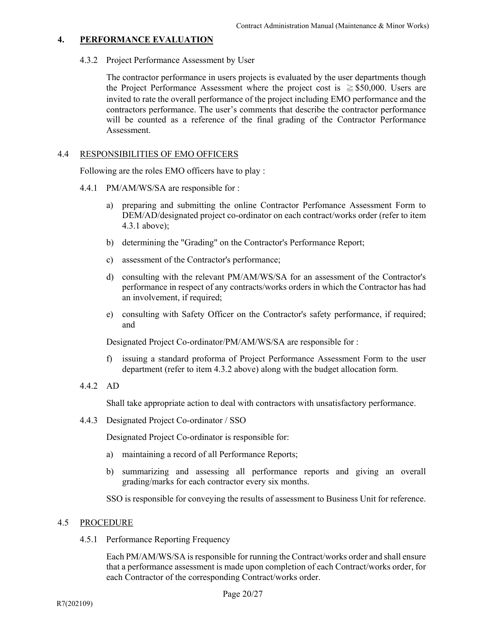4.3.2 Project Performance Assessment by User

 The contractor performance in users projects is evaluated by the user departments though the Project Performance Assessment where the project cost is  $\geq$  \$50,000. Users are invited to rate the overall performance of the project including EMO performance and the contractors performance. The user's comments that describe the contractor performance will be counted as a reference of the final grading of the Contractor Performance Assessment.

# 4.4 RESPONSIBILITIES OF EMO OFFICERS

Following are the roles EMO officers have to play :

- 4.4.1 PM/AM/WS/SA are responsible for :
	- a) preparing and submitting the online Contractor Perfomance Assessment Form to DEM/AD/designated project co-ordinator on each contract/works order (refer to item 4.3.1 above);
	- b) determining the "Grading" on the Contractor's Performance Report;
	- c) assessment of the Contractor's performance;
	- d) consulting with the relevant PM/AM/WS/SA for an assessment of the Contractor's performance in respect of any contracts/works orders in which the Contractor has had an involvement, if required;
	- e) consulting with Safety Officer on the Contractor's safety performance, if required; and

Designated Project Co-ordinator/PM/AM/WS/SA are responsible for :

- f) issuing a standard proforma of Project Performance Assessment Form to the user department (refer to item 4.3.2 above) along with the budget allocation form.
- 4.4.2 AD

Shall take appropriate action to deal with contractors with unsatisfactory performance.

4.4.3 Designated Project Co-ordinator / SSO

Designated Project Co-ordinator is responsible for:

- a) maintaining a record of all Performance Reports;
- b) summarizing and assessing all performance reports and giving an overall grading/marks for each contractor every six months.

SSO is responsible for conveying the results of assessment to Business Unit for reference.

# 4.5 PROCEDURE

4.5.1 Performance Reporting Frequency

 Each PM/AM/WS/SA is responsible for running the Contract/works order and shall ensure that a performance assessment is made upon completion of each Contract/works order, for each Contractor of the corresponding Contract/works order.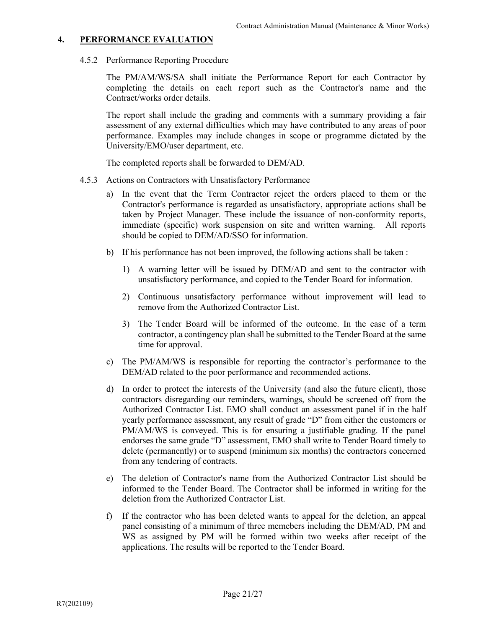4.5.2 Performance Reporting Procedure

 The PM/AM/WS/SA shall initiate the Performance Report for each Contractor by completing the details on each report such as the Contractor's name and the Contract/works order details.

 The report shall include the grading and comments with a summary providing a fair assessment of any external difficulties which may have contributed to any areas of poor performance. Examples may include changes in scope or programme dictated by the University/EMO/user department, etc.

The completed reports shall be forwarded to DEM/AD.

- 4.5.3 Actions on Contractors with Unsatisfactory Performance
	- a) In the event that the Term Contractor reject the orders placed to them or the Contractor's performance is regarded as unsatisfactory, appropriate actions shall be taken by Project Manager. These include the issuance of non-conformity reports, immediate (specific) work suspension on site and written warning. All reports should be copied to DEM/AD/SSO for information.
	- b) If his performance has not been improved, the following actions shall be taken :
		- 1) A warning letter will be issued by DEM/AD and sent to the contractor with unsatisfactory performance, and copied to the Tender Board for information.
		- 2) Continuous unsatisfactory performance without improvement will lead to remove from the Authorized Contractor List.
		- 3) The Tender Board will be informed of the outcome. In the case of a term contractor, a contingency plan shall be submitted to the Tender Board at the same time for approval.
	- c) The PM/AM/WS is responsible for reporting the contractor's performance to the DEM/AD related to the poor performance and recommended actions.
	- d) In order to protect the interests of the University (and also the future client), those contractors disregarding our reminders, warnings, should be screened off from the Authorized Contractor List. EMO shall conduct an assessment panel if in the half yearly performance assessment, any result of grade "D" from either the customers or PM/AM/WS is conveyed. This is for ensuring a justifiable grading. If the panel endorses the same grade "D" assessment, EMO shall write to Tender Board timely to delete (permanently) or to suspend (minimum six months) the contractors concerned from any tendering of contracts.
	- e) The deletion of Contractor's name from the Authorized Contractor List should be informed to the Tender Board. The Contractor shall be informed in writing for the deletion from the Authorized Contractor List.
	- f) If the contractor who has been deleted wants to appeal for the deletion, an appeal panel consisting of a minimum of three memebers including the DEM/AD, PM and WS as assigned by PM will be formed within two weeks after receipt of the applications. The results will be reported to the Tender Board.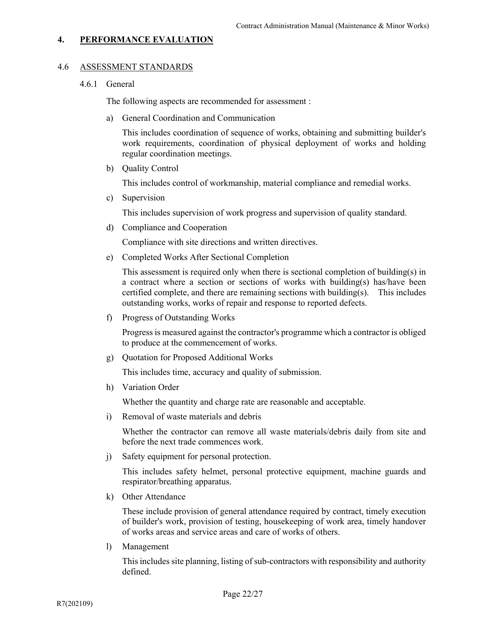#### 4.6 ASSESSMENT STANDARDS

#### 4.6.1 General

The following aspects are recommended for assessment :

a) General Coordination and Communication

This includes coordination of sequence of works, obtaining and submitting builder's work requirements, coordination of physical deployment of works and holding regular coordination meetings.

b) Quality Control

This includes control of workmanship, material compliance and remedial works.

c) Supervision

This includes supervision of work progress and supervision of quality standard.

d) Compliance and Cooperation

Compliance with site directions and written directives.

e) Completed Works After Sectional Completion

This assessment is required only when there is sectional completion of building(s) in a contract where a section or sections of works with building(s) has/have been certified complete, and there are remaining sections with building(s). This includes outstanding works, works of repair and response to reported defects.

f) Progress of Outstanding Works

Progress is measured against the contractor's programme which a contractor is obliged to produce at the commencement of works.

g) Quotation for Proposed Additional Works

This includes time, accuracy and quality of submission.

h) Variation Order

Whether the quantity and charge rate are reasonable and acceptable.

i) Removal of waste materials and debris

Whether the contractor can remove all waste materials/debris daily from site and before the next trade commences work.

j) Safety equipment for personal protection.

This includes safety helmet, personal protective equipment, machine guards and respirator/breathing apparatus.

k) Other Attendance

These include provision of general attendance required by contract, timely execution of builder's work, provision of testing, housekeeping of work area, timely handover of works areas and service areas and care of works of others.

l) Management

This includes site planning, listing of sub-contractors with responsibility and authority defined.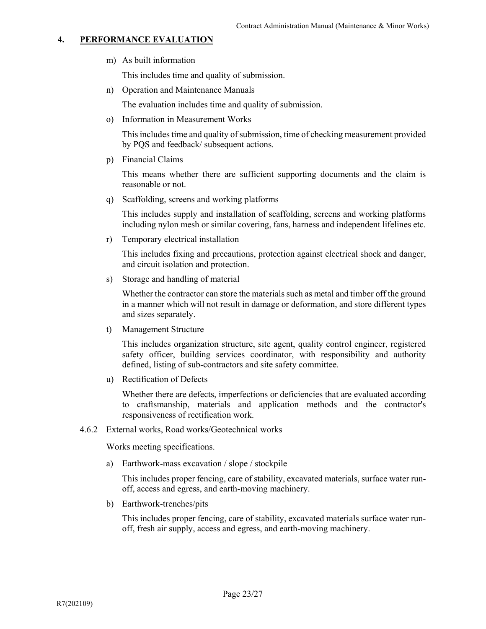m) As built information

This includes time and quality of submission.

n) Operation and Maintenance Manuals

The evaluation includes time and quality of submission.

o) Information in Measurement Works

This includes time and quality of submission, time of checking measurement provided by PQS and feedback/ subsequent actions.

p) Financial Claims

This means whether there are sufficient supporting documents and the claim is reasonable or not.

q) Scaffolding, screens and working platforms

This includes supply and installation of scaffolding, screens and working platforms including nylon mesh or similar covering, fans, harness and independent lifelines etc.

r) Temporary electrical installation

This includes fixing and precautions, protection against electrical shock and danger, and circuit isolation and protection.

s) Storage and handling of material

Whether the contractor can store the materials such as metal and timber off the ground in a manner which will not result in damage or deformation, and store different types and sizes separately.

t) Management Structure

This includes organization structure, site agent, quality control engineer, registered safety officer, building services coordinator, with responsibility and authority defined, listing of sub-contractors and site safety committee.

u) Rectification of Defects

Whether there are defects, imperfections or deficiencies that are evaluated according to craftsmanship, materials and application methods and the contractor's responsiveness of rectification work.

4.6.2 External works, Road works/Geotechnical works

Works meeting specifications.

a) Earthwork-mass excavation / slope / stockpile

This includes proper fencing, care of stability, excavated materials, surface water runoff, access and egress, and earth-moving machinery.

b) Earthwork-trenches/pits

This includes proper fencing, care of stability, excavated materials surface water runoff, fresh air supply, access and egress, and earth-moving machinery.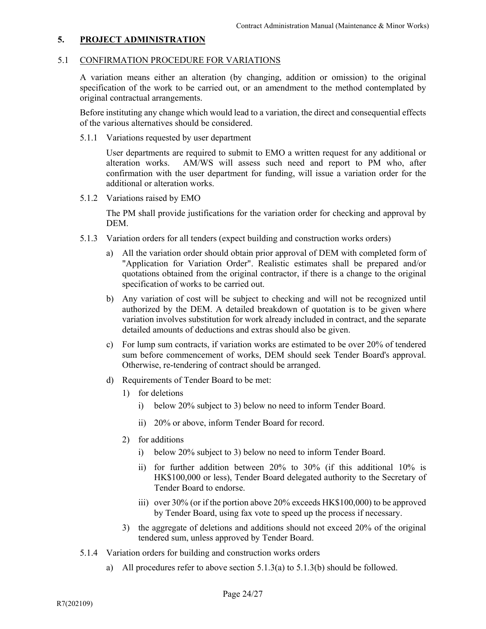# 5.1 CONFIRMATION PROCEDURE FOR VARIATIONS

 A variation means either an alteration (by changing, addition or omission) to the original specification of the work to be carried out, or an amendment to the method contemplated by original contractual arrangements.

Before instituting any change which would lead to a variation, the direct and consequential effects of the various alternatives should be considered.

5.1.1 Variations requested by user department

User departments are required to submit to EMO a written request for any additional or alteration works. AM/WS will assess such need and report to PM who, after confirmation with the user department for funding, will issue a variation order for the additional or alteration works.

5.1.2 Variations raised by EMO

The PM shall provide justifications for the variation order for checking and approval by DEM.

- 5.1.3 Variation orders for all tenders (expect building and construction works orders)
	- a) All the variation order should obtain prior approval of DEM with completed form of "Application for Variation Order". Realistic estimates shall be prepared and/or quotations obtained from the original contractor, if there is a change to the original specification of works to be carried out.
	- b) Any variation of cost will be subject to checking and will not be recognized until authorized by the DEM. A detailed breakdown of quotation is to be given where variation involves substitution for work already included in contract, and the separate detailed amounts of deductions and extras should also be given.
	- c) For lump sum contracts, if variation works are estimated to be over 20% of tendered sum before commencement of works, DEM should seek Tender Board's approval. Otherwise, re-tendering of contract should be arranged.
	- d) Requirements of Tender Board to be met:
		- 1) for deletions
			- i) below 20% subject to 3) below no need to inform Tender Board.
			- ii) 20% or above, inform Tender Board for record.
		- 2) for additions
			- i) below 20% subject to 3) below no need to inform Tender Board.
			- ii) for further addition between 20% to 30% (if this additional 10% is HK\$100,000 or less), Tender Board delegated authority to the Secretary of Tender Board to endorse.
			- iii) over 30% (or if the portion above 20% exceeds HK\$100,000) to be approved by Tender Board, using fax vote to speed up the process if necessary.
		- 3) the aggregate of deletions and additions should not exceed 20% of the original tendered sum, unless approved by Tender Board.
- 5.1.4 Variation orders for building and construction works orders
	- a) All procedures refer to above section 5.1.3(a) to 5.1.3(b) should be followed.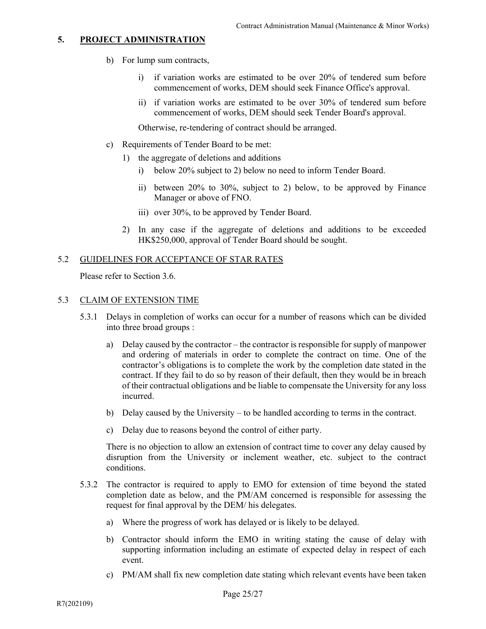- b) For lump sum contracts,
	- i) if variation works are estimated to be over 20% of tendered sum before commencement of works, DEM should seek Finance Office's approval.
	- ii) if variation works are estimated to be over 30% of tendered sum before commencement of works, DEM should seek Tender Board's approval.

Otherwise, re-tendering of contract should be arranged.

- c) Requirements of Tender Board to be met:
	- 1) the aggregate of deletions and additions
		- i) below 20% subject to 2) below no need to inform Tender Board.
		- ii) between 20% to 30%, subject to 2) below, to be approved by Finance Manager or above of FNO.
		- iii) over 30%, to be approved by Tender Board.
	- 2) In any case if the aggregate of deletions and additions to be exceeded HK\$250,000, approval of Tender Board should be sought.

#### 5.2 GUIDELINES FOR ACCEPTANCE OF STAR RATES

Please refer to Section 3.6.

#### 5.3 CLAIM OF EXTENSION TIME

- 5.3.1 Delays in completion of works can occur for a number of reasons which can be divided into three broad groups :
	- a) Delay caused by the contractor the contractor is responsible for supply of manpower and ordering of materials in order to complete the contract on time. One of the contractor's obligations is to complete the work by the completion date stated in the contract. If they fail to do so by reason of their default, then they would be in breach of their contractual obligations and be liable to compensate the University for any loss incurred.
	- b) Delay caused by the University to be handled according to terms in the contract.
	- c) Delay due to reasons beyond the control of either party.

 There is no objection to allow an extension of contract time to cover any delay caused by disruption from the University or inclement weather, etc. subject to the contract conditions.

- 5.3.2 The contractor is required to apply to EMO for extension of time beyond the stated completion date as below, and the PM/AM concerned is responsible for assessing the request for final approval by the DEM/ his delegates.
	- a) Where the progress of work has delayed or is likely to be delayed.
	- b) Contractor should inform the EMO in writing stating the cause of delay with supporting information including an estimate of expected delay in respect of each event.
	- c) PM/AM shall fix new completion date stating which relevant events have been taken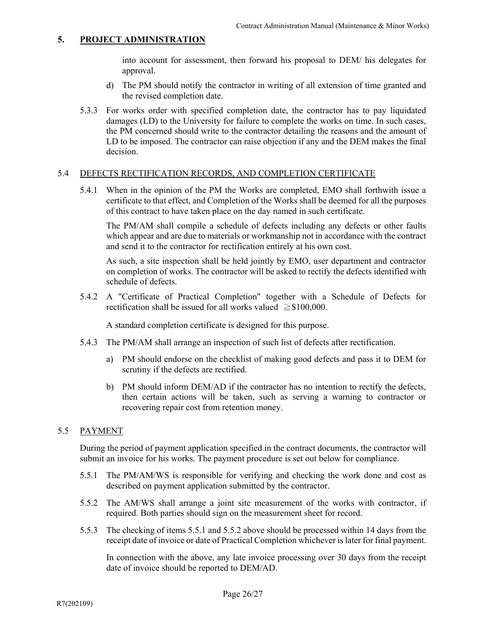into account for assessment, then forward his proposal to DEM/ his delegates for approval.

- d) The PM should notify the contractor in writing of all extension of time granted and the revised completion date.
- 5.3.3 For works order with specified completion date, the contractor has to pay liquidated damages (LD) to the University for failure to complete the works on time. In such cases, the PM concerned should write to the contractor detailing the reasons and the amount of LD to be imposed. The contractor can raise objection if any and the DEM makes the final decision.

# 5.4 DEFECTS RECTIFICATION RECORDS, AND COMPLETION CERTIFICATE

 5.4.1 When in the opinion of the PM the Works are completed, EMO shall forthwith issue a certificate to that effect, and Completion of the Works shall be deemed for all the purposes of this contract to have taken place on the day named in such certificate.

The PM/AM shall compile a schedule of defects including any defects or other faults which appear and are due to materials or workmanship not in accordance with the contract and send it to the contractor for rectification entirely at his own cost.

As such, a site inspection shall be held jointly by EMO, user department and contractor on completion of works. The contractor will be asked to rectify the defects identified with schedule of defects.

 5.4.2 A "Certificate of Practical Completion" together with a Schedule of Defects for rectification shall be issued for all works valued  $\geq$ \$100,000.

A standard completion certificate is designed for this purpose.

- 5.4.3 The PM/AM shall arrange an inspection of such list of defects after rectification.
	- a) PM should endorse on the checklist of making good defects and pass it to DEM for scrutiny if the defects are rectified.
	- b) PM should inform DEM/AD if the contractor has no intention to rectify the defects, then certain actions will be taken, such as serving a warning to contractor or recovering repair cost from retention money.

# 5.5 PAYMENT

 During the period of payment application specified in the contract documents, the contractor will submit an invoice for his works. The payment procedure is set out below for compliance.

- 5.5.1 The PM/AM/WS is responsible for verifying and checking the work done and cost as described on payment application submitted by the contractor.
- 5.5.2 The AM/WS shall arrange a joint site measurement of the works with contractor, if required. Both parties should sign on the measurement sheet for record.
- 5.5.3 The checking of items 5.5.1 and 5.5.2 above should be processed within 14 days from the receipt date of invoice or date of Practical Completion whichever is later for final payment.

In connection with the above, any late invoice processing over 30 days from the receipt date of invoice should be reported to DEM/AD.